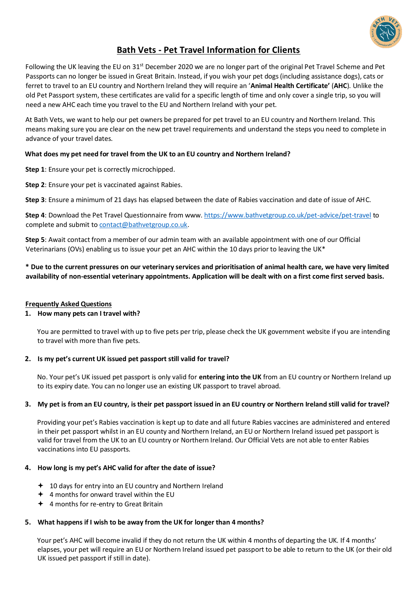

# **Bath Vets - Pet Travel Information for Clients**

Following the UK leaving the EU on 31<sup>st</sup> December 2020 we are no longer part of the original Pet Travel Scheme and Pet Passports can no longer be issued in Great Britain. Instead, if you wish your pet dogs (including assistance dogs), cats or ferret to travel to an EU country and Northern Ireland they will require an '**Animal Health Certificate'** (**AHC**). Unlike the old Pet Passport system, these certificates are valid for a specific length of time and only cover a single trip, so you will need a new AHC each time you travel to the EU and Northern Ireland with your pet.

At Bath Vets, we want to help our pet owners be prepared for pet travel to an EU country and Northern Ireland. This means making sure you are clear on the new pet travel requirements and understand the steps you need to complete in advance of your travel dates.

## **What does my pet need for travel from the UK to an EU country and Northern Ireland?**

**Step 1**: Ensure your pet is correctly microchipped.

**Step 2**: Ensure your pet is vaccinated against Rabies.

**Step 3**: Ensure a minimum of 21 days has elapsed between the date of Rabies vaccination and date of issue of AHC.

**Step 4**: Download the Pet Travel Questionnaire from www. <https://www.bathvetgroup.co.uk/pet-advice/pet-travel> to complete and submit t[o contact@bathvetgroup.co.uk.](mailto:contact@bathvetgroup.co.uk)

**Step 5**: Await contact from a member of our admin team with an available appointment with one of our Official Veterinarians (OVs) enabling us to issue your pet an AHC within the 10 days prior to leaving the UK\*

**\* Due to the current pressures on our veterinary services and prioritisation of animal health care, we have very limited availability of non-essential veterinary appointments. Application will be dealt with on a first come first served basis.**

### **Frequently Asked Questions**

### **1. How many pets can I travel with?**

You are permitted to travel with up to five pets per trip, please check the UK government website if you are intending to travel with more than five pets.

### **2. Is my pet's current UK issued pet passport still valid for travel?**

No. Your pet's UK issued pet passport is only valid for **entering into the UK** from an EU country or Northern Ireland up to its expiry date. You can no longer use an existing UK passport to travel abroad.

# **3. My pet is from an EU country, is their pet passport issued in an EU country or Northern Ireland still valid for travel?**

Providing your pet's Rabies vaccination is kept up to date and all future Rabies vaccines are administered and entered in their pet passport whilst in an EU county and Northern Ireland, an EU or Northern Ireland issued pet passport is valid for travel from the UK to an EU country or Northern Ireland. Our Official Vets are not able to enter Rabies vaccinations into EU passports.

### **4. How long is my pet's AHC valid for after the date of issue?**

- $+$  10 days for entry into an EU country and Northern Ireland
- $\div$  4 months for onward travel within the EU
- 4 months for re-entry to Great Britain

# **5. What happens if I wish to be away from the UK for longer than 4 months?**

Your pet's AHC will become invalid if they do not return the UK within 4 months of departing the UK. If 4 months' elapses, your pet will require an EU or Northern Ireland issued pet passport to be able to return to the UK (or their old UK issued pet passport if still in date).